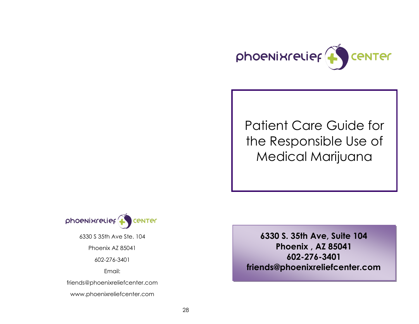

# Patient Care Guide for the Responsible Use of Medical Marijuana



6330 S 35th Ave Ste. 104

Phoenix AZ 85041

602-276-3401

Email:

friends@phoenixreliefcenter.com

www.phoenixreliefcenter.com

**6330 S. 35th Ave, Suite 104 Phoenix , AZ 85041 602-276-3401 friends@phoenixreliefcenter.com**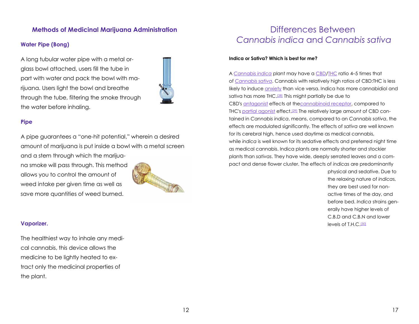# **Methods of Medicinal Marijuana Administration**

# **Water Pipe (Bong)**

A long tubular water pipe with a metal orglass bowl attached, users fill the tube in part with water and pack the bowl with marijuana. Users light the bowl and breathe through the tube, filtering the smoke through the water before inhaling.



# **Pipe**

A pipe guarantees a "one-hit potential," wherein a desired amount of marijuana is put inside a bowl with a metal screen and a stem through which the marijuana smoke will pass through. This method allows you to control the amount of weed intake per given time as well as save more quantities of weed burned.

# **Vaporizer.**

The healthiest way to inhale any medical cannabis, this device allows the medicine to be lightly heated to extract only the medicinal properties of the plant.

# Differences Between *Cannabis indica* and *Cannabis sativa*

### **Indica or Sativa? Which is best for me?**

A *[Cannabis indica](http://en.wikipedia.org/wiki/Cannabis_indica)* plant may have a [CBD/](http://en.wikipedia.org/wiki/Cannabidiol)[THC](http://en.wikipedia.org/wiki/Tetrahydrocannabinol) ratio 4–5 times that of *[Cannabis sativa](http://en.wikipedia.org/wiki/Cannabis_sativa)*. Cannabis with relatively high ratios of CBD:THC is less likely to induce **[anxiety](http://en.wikipedia.org/wiki/Anxiety)** than vice versa. Indica has more cannabidiol and sativa has more THC.<sup>[\[28\]](http://en.wikipedia.org/wiki/Medical_cannabis#cite_note-105)</sup> This might partially be due to CBD's [antagonist](http://en.wikipedia.org/wiki/Antagonist) effects at th[ecannabinoid receptor,](http://en.wikipedia.org/wiki/Cannabinoid_receptor) compared to THC's [partial agonist](http://en.wikipedia.org/wiki/Partial_agonist) effect.[\[29\]](http://en.wikipedia.org/wiki/Medical_cannabis#cite_note-joy-106) The relatively large amount of CBD contained in *Cannabis indica*, means, compared to an *Cannabis sativa*, the effects are modulated significantly. The effects of *sativa* are well known for its cerebral high, hence used daytime as medical cannabis, while *indica* is well known for its sedative effects and preferred night time as medical cannabis. Indica plants are normally shorter and stockier plants than *sativas*. They have wide, deeply serrated leaves and a compact and dense flower cluster. The effects of *indicas* are predominantly

> physical and sedative. Due to the relaxing nature of *indica*s, they are best used for nonactive times of the day, and before bed. *Indica* strains generally have higher levels of C.B.D and C.B.N and lower levels of T.H.C.[\[30\]](http://en.wikipedia.org/wiki/Medical_cannabis#cite_note-Indica-107)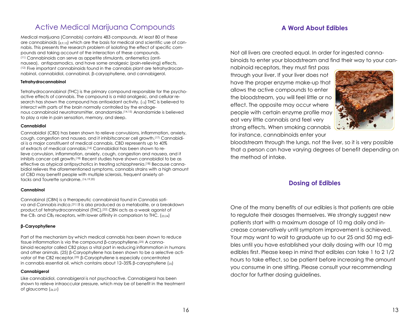# Active Medical Marijuana Compounds

Medical marijuana (Cannabis) contains 483 compounds. At least 80 of these are cannabinoids  $(s_{9,10})$  which are the basis for medical and scientific use of cannabis. This presents the research problem of isolating the effect of specific compounds and taking account of the interaction of these compounds. (11) Cannabinoids can serve as appetite stimulants, antiemetics (antinausea), antispasmodics, and have some analgesic (pain-relieving) effects. (12) Five important cannabinoids found in the cannabis plant are tetrahydrocannabinol, cannabidiol, cannabinol, β-caryophyllene, and cannabigerol.

### **Tetrahydrocannabinol**

Tetrahydrocannabinol (THC) is the primary compound responsible for the psychoactive effects of cannabis. The compound is a mild analgesic, and cellular research has shown the compound has antioxidant activity. (13) [THC](http://en.wikipedia.org/wiki/THC) is believed to interact with parts of the brain normally controlled by the [endoge](http://en.wikipedia.org/wiki/Endogenous)[nous](http://en.wikipedia.org/wiki/Endogenous) cannabinoid neurotransmitter, [anandamide.](http://en.wikipedia.org/wiki/Anandamide)(14,15) Anandamide is believed to play a role in pain sensation, memory, and sleep.

#### **Cannabidiol**

[Cannabidiol](http://en.wikipedia.org/wiki/Cannabidiol) (CBD) has been shown to relieve [convulsions,](http://en.wikipedia.org/wiki/Convulsion) [inflammation,](http://en.wikipedia.org/wiki/Inflammation) [anxiety,](http://en.wikipedia.org/wiki/Anxiety) cough, congestion and [nausea,](http://en.wikipedia.org/wiki/Nausea) and it inhibits[cancer cell](http://en.wikipedia.org/wiki/Cancer_cell) growth.(17) [Cannabidi](http://en.wikipedia.org/wiki/Cannabidiol)[ol](http://en.wikipedia.org/wiki/Cannabidiol) is a major constituent of medical cannabis. CBD represents up to 40% of [extracts](http://en.wikipedia.org/wiki/Extract) of medical cannabis.[\[16\]](http://en.wikipedia.org/wiki/Medical_cannabis#cite_note-Grlie_1976-81) Cannabidiol has been shown to relieve [convulsion,](http://en.wikipedia.org/wiki/Convulsion) [inflammation,](http://en.wikipedia.org/wiki/Inflammation) [anxiety,](http://en.wikipedia.org/wiki/Anxiety) cough, congestion and [nausea,](http://en.wikipedia.org/wiki/Nausea) and it inhibits [cancer cell](http://en.wikipedia.org/wiki/Cancer_cell) growth.(18) Recent studies have shown cannabidiol to be as effective as [atypical antipsychotics](http://en.wikipedia.org/wiki/Atypical_antipsychotics) in treating [schizophrenia.](http://en.wikipedia.org/wiki/Schizophrenia) [\[18\]](http://en.wikipedia.org/wiki/Medical_cannabis#cite_note-82) Because cannabidiol relieves the aforementioned symptoms, cannabis strains with a high amount of CBD may benefit people with [multiple sclerosis,](http://en.wikipedia.org/wiki/Multiple_sclerosis) frequent [anxiety at](http://en.wikipedia.org/wiki/Anxiety_attacks)[tacks](http://en.wikipedia.org/wiki/Anxiety_attacks) and [Tourette syndrome.](http://en.wikipedia.org/wiki/Tourette_syndrome) (16,19,20)

### **Cannabinol**

Cannabinol (CBN) is a therapeutic [cannabinoid](http://en.wikipedia.org/wiki/Cannabinoids) found in *[Cannabis sati](http://en.wikipedia.org/wiki/Cannabis)[va](http://en.wikipedia.org/wiki/Cannabis)* and *[Cannabis indica](http://en.wikipedia.org/wiki/Cannabis)*. [\[21\]](http://en.wikipedia.org/wiki/Medical_cannabis#cite_note-pmid1221432-84) It is also produced as a [metabolite,](http://en.wikipedia.org/wiki/Metabolite) or a breakdown product,of [tetrahydrocannabinol](http://en.wikipedia.org/wiki/Tetrahydrocannabinol) (THC).[\[22\]](http://en.wikipedia.org/wiki/Medical_cannabis#cite_note-pmid1140243-85) CBN acts as a weak [agonist](http://en.wikipedia.org/wiki/Agonist) of the  $CB_1$  $CB_1$  and  $CB_2$  [receptors,](http://en.wikipedia.org/wiki/Receptor_(biochemistry)) with lower [affinity](http://en.wikipedia.org/wiki/Affinity_(pharmacology)) in comparison to [THC.](http://en.wikipedia.org/wiki/THC) ( $_{23,24}$ )

### **β-Caryophyllene**

Part of the mechanism by which medical cannabis has been shown to reduce tissue [inflammation](http://en.wikipedia.org/wiki/Inflammation) is via the compound β-caryophyllene.<sup>[\(25\)](http://en.wikipedia.org/wiki/Medical_cannabis#cite_note-pmid18574142-88)</sup> A cannabinoid [receptor](http://en.wikipedia.org/wiki/Receptor_(biology)) called [CB2](http://en.wikipedia.org/wiki/CB2_receptor) plays a vital part in reducing inflammation in humans and other animals. (25) β-Caryophyllene has been shown to be a selective activator of the CB2 receptor.[\(25\)](http://en.wikipedia.org/wiki/Medical_cannabis#cite_note-pmid18574142-88) β-Caryophyllene is especially concentrated in [cannabis essential oil,](http://en.wikipedia.org/wiki/Cannabis_flower_essential_oil) which contains about  $12-35\%$  β-caryophyllene ( $_{25}$ )

### **Cannabigerol**

Like cannabidiol, cannabigerol is not psychoactive. Cannabigerol has been shown to relieve intraoccular pressure, which may be of benefit in the treatment of [glaucoma](http://en.wikipedia.org/wiki/Glaucoma) (26,27)

Not all livers are created equal. In order for ingested cannabinoids to enter your bloodstream and find their way to your can-

**A Word About Edibles**

nabinoid receptors, they must first pass through your liver. If your liver does not have the proper enzyme make-up that allows the active compounds to enter the bloodstream, you will feel little or no effect. The opposite may occur where people with certain enzyme profile may eat very little cannabis and feel very strong effects. When smoking cannabis for instance, cannabinoids enter your



bloodstream through the lungs, not the liver, so it is very possible that a person can have varying degrees of benefit depending on the method of intake.

# **Dosing of Edibles**

One of the many benefits of our edibles is that patients are able to regulate their dosages themselves. We strongly suggest new patients start with a maximum dosage of 10 mg daily and increase conservatively until symptom improvement is achieved. Your may want to wait to graduate up to our 25 and 50 mg edibles until you have established your daily dosing with our 10 mg edibles first. Please keep in mind that edibles can take 1 to 2 1/2 hours to take effect, so be patient before increasing the amount you consume in one sitting. Please consult your recommending doctor for further dosing guidelines.